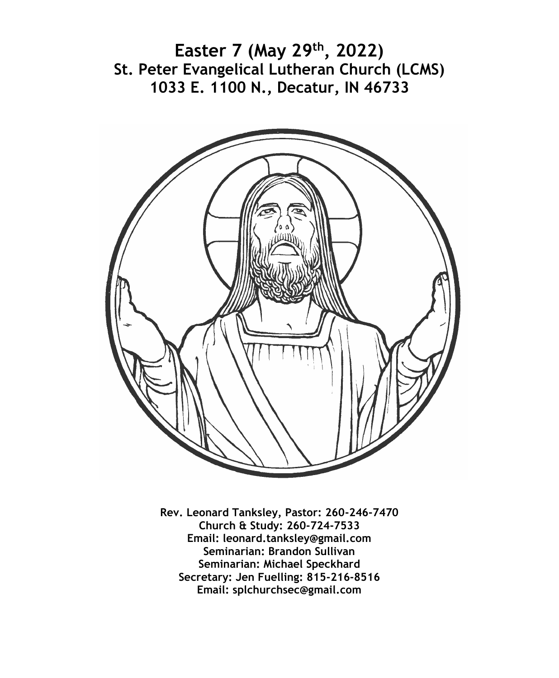**Easter 7 (May 29th, 2022) St. Peter Evangelical Lutheran Church (LCMS) 1033 E. 1100 N., Decatur, IN 46733**



**Rev. Leonard Tanksley, Pastor: 260-246-7470 Church & Study: 260-724-7533 Email: leonard.tanksley@gmail.com Seminarian: Brandon Sullivan Seminarian: Michael Speckhard Secretary: Jen Fuelling: 815-216-8516 Email: splchurchsec@gmail.com**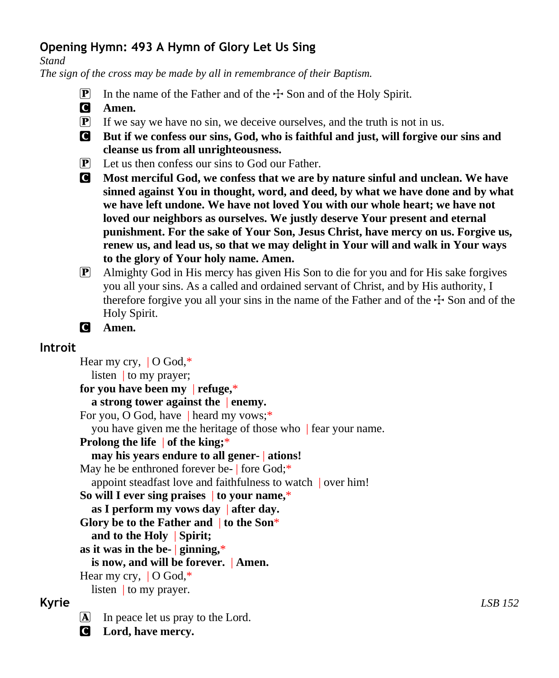# **Opening Hymn: 493 A Hymn of Glory Let Us Sing**

*Stand*

*The sign of the cross may be made by all in remembrance of their Baptism.*

- **P** In the name of the Father and of the  $\pm$  Son and of the Holy Spirit.
- C **Amen.**
- $\mathbf{P}$  If we say we have no sin, we deceive ourselves, and the truth is not in us.
- C **But if we confess our sins, God, who is faithful and just, will forgive our sins and cleanse us from all unrighteousness.**
- P Let us then confess our sins to God our Father.
- C **Most merciful God, we confess that we are by nature sinful and unclean. We have sinned against You in thought, word, and deed, by what we have done and by what we have left undone. We have not loved You with our whole heart; we have not loved our neighbors as ourselves. We justly deserve Your present and eternal punishment. For the sake of Your Son, Jesus Christ, have mercy on us. Forgive us, renew us, and lead us, so that we may delight in Your will and walk in Your ways to the glory of Your holy name. Amen.**
- P Almighty God in His mercy has given His Son to die for you and for His sake forgives you all your sins. As a called and ordained servant of Christ, and by His authority, I therefore forgive you all your sins in the name of the Father and of the  $\pm$  Son and of the Holy Spirit.
- C **Amen.**

## **Introit**

Hear my cry,  $\vert$  O God,\* listen | to my prayer; **for you have been my** | **refuge,**\* **a strong tower against the** | **enemy.** For you, O God, have | heard my vows;\* you have given me the heritage of those who | fear your name. **Prolong the life** | **of the king;**\* **may his years endure to all gener-** | **ations!** May he be enthroned forever be- fore God;\* appoint steadfast love and faithfulness to watch | over him! **So will I ever sing praises** | **to your name,**\* **as I perform my vows day** | **after day. Glory be to the Father and** | **to the Son**\* **and to the Holy** | **Spirit; as it was in the be-** | **ginning,**\* **is now, and will be forever.** | **Amen.** Hear my cry, | O God,\* listen | to my prayer. **Kyrie** *LSB 152*

### $\Delta$  In peace let us pray to the Lord.

C **Lord, have mercy.**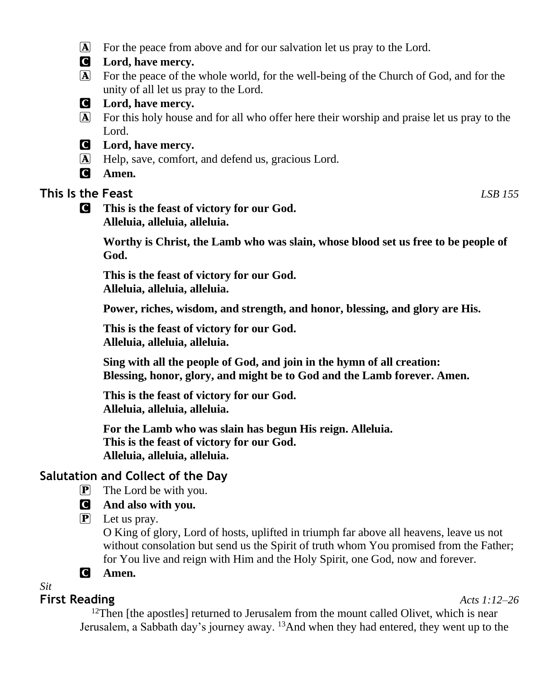- A For the peace from above and for our salvation let us pray to the Lord.
- C **Lord, have mercy.**
- A For the peace of the whole world, for the well-being of the Church of God, and for the unity of all let us pray to the Lord.
- C **Lord, have mercy.**
- A For this holy house and for all who offer here their worship and praise let us pray to the Lord.
- C **Lord, have mercy.**
- A Help, save, comfort, and defend us, gracious Lord.
- C **Amen.**

# **This Is the Feast** *LSB 155*

C **This is the feast of victory for our God. Alleluia, alleluia, alleluia.**

> **Worthy is Christ, the Lamb who was slain, whose blood set us free to be people of God.**

**This is the feast of victory for our God. Alleluia, alleluia, alleluia.**

**Power, riches, wisdom, and strength, and honor, blessing, and glory are His.**

**This is the feast of victory for our God. Alleluia, alleluia, alleluia.**

**Sing with all the people of God, and join in the hymn of all creation: Blessing, honor, glory, and might be to God and the Lamb forever. Amen.**

**This is the feast of victory for our God. Alleluia, alleluia, alleluia.**

**For the Lamb who was slain has begun His reign. Alleluia. This is the feast of victory for our God. Alleluia, alleluia, alleluia.**

# **Salutation and Collect of the Day**

 $\mathbf{P}$  The Lord be with you.

# C **And also with you.**

 $\overline{P}$  Let us pray.

O King of glory, Lord of hosts, uplifted in triumph far above all heavens, leave us not without consolation but send us the Spirit of truth whom You promised from the Father; for You live and reign with Him and the Holy Spirit, one God, now and forever.

## C **Amen.**

*Sit*

## **First Reading** *Acts 1:12–26*

<sup>12</sup>Then [the apostles] returned to Jerusalem from the mount called Olivet, which is near Jerusalem, a Sabbath day's journey away. 13And when they had entered, they went up to the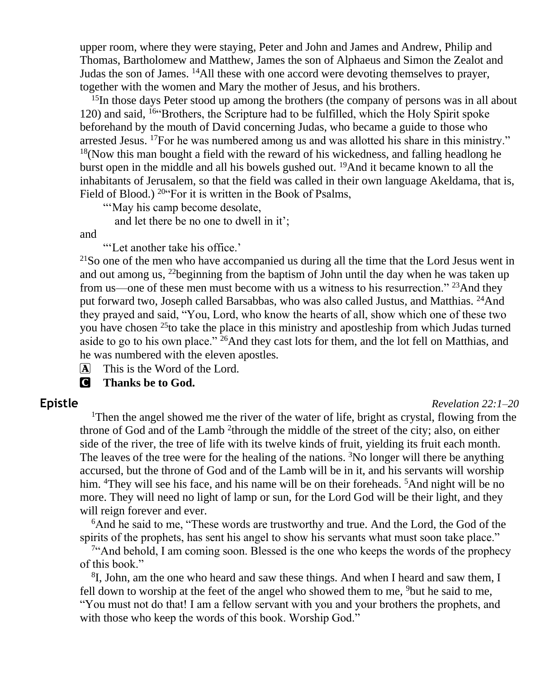upper room, where they were staying, Peter and John and James and Andrew, Philip and Thomas, Bartholomew and Matthew, James the son of Alphaeus and Simon the Zealot and Judas the son of James. <sup>14</sup>All these with one accord were devoting themselves to prayer, together with the women and Mary the mother of Jesus, and his brothers.

 $15$ In those days Peter stood up among the brothers (the company of persons was in all about 120) and said, <sup>16</sup>"Brothers, the Scripture had to be fulfilled, which the Holy Spirit spoke beforehand by the mouth of David concerning Judas, who became a guide to those who arrested Jesus. <sup>17</sup>For he was numbered among us and was allotted his share in this ministry."  $18$ (Now this man bought a field with the reward of his wickedness, and falling headlong he burst open in the middle and all his bowels gushed out. <sup>19</sup>And it became known to all the inhabitants of Jerusalem, so that the field was called in their own language Akeldama, that is, Field of Blood.) <sup>20</sup> For it is written in the Book of Psalms,

"'May his camp become desolate.

and let there be no one to dwell in it';

and

"'Let another take his office.'

 $21$ So one of the men who have accompanied us during all the time that the Lord Jesus went in and out among us,  $^{22}$ beginning from the baptism of John until the day when he was taken up from us—one of these men must become with us a witness to his resurrection." <sup>23</sup>And they put forward two, Joseph called Barsabbas, who was also called Justus, and Matthias. <sup>24</sup>And they prayed and said, "You, Lord, who know the hearts of all, show which one of these two you have chosen <sup>25</sup>to take the place in this ministry and apostleship from which Judas turned aside to go to his own place." <sup>26</sup>And they cast lots for them, and the lot fell on Matthias, and he was numbered with the eleven apostles.

A This is the Word of the Lord.

C **Thanks be to God.**

#### **Epistle** *Revelation 22:1–20*

<sup>1</sup>Then the angel showed me the river of the water of life, bright as crystal, flowing from the throne of God and of the Lamb <sup>2</sup>through the middle of the street of the city; also, on either side of the river, the tree of life with its twelve kinds of fruit, yielding its fruit each month. The leaves of the tree were for the healing of the nations.  ${}^{3}$ No longer will there be anything accursed, but the throne of God and of the Lamb will be in it, and his servants will worship him. <sup>4</sup>They will see his face, and his name will be on their foreheads. <sup>5</sup>And night will be no more. They will need no light of lamp or sun, for the Lord God will be their light, and they will reign forever and ever.

<sup>6</sup>And he said to me, "These words are trustworthy and true. And the Lord, the God of the spirits of the prophets, has sent his angel to show his servants what must soon take place."

<sup>7"</sup>And behold, I am coming soon. Blessed is the one who keeps the words of the prophecy of this book."

<sup>8</sup>I, John, am the one who heard and saw these things. And when I heard and saw them, I fell down to worship at the feet of the angel who showed them to me, <sup>9</sup>but he said to me, "You must not do that! I am a fellow servant with you and your brothers the prophets, and with those who keep the words of this book. Worship God."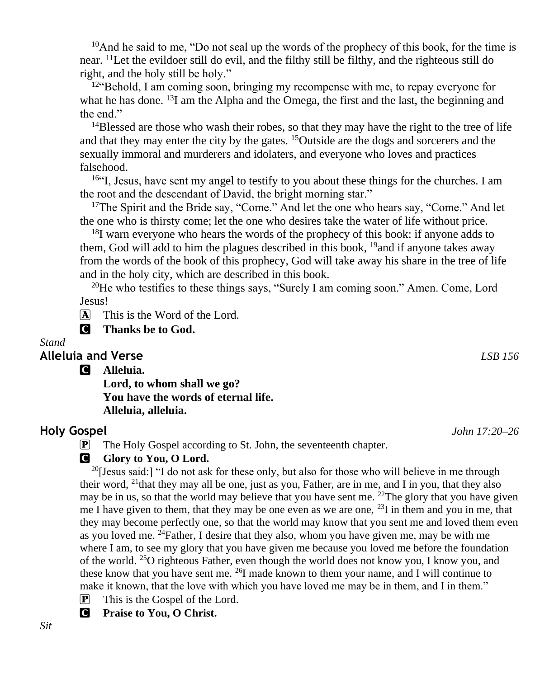$10$ And he said to me, "Do not seal up the words of the prophecy of this book, for the time is near. <sup>11</sup>Let the evildoer still do evil, and the filthy still be filthy, and the righteous still do right, and the holy still be holy."

 $12 \cdot \text{Behold}$ , I am coming soon, bringing my recompense with me, to repay everyone for what he has done.  $^{13}I$  am the Alpha and the Omega, the first and the last, the beginning and the end."

<sup>14</sup>Blessed are those who wash their robes, so that they may have the right to the tree of life and that they may enter the city by the gates. <sup>15</sup>Outside are the dogs and sorcerers and the sexually immoral and murderers and idolaters, and everyone who loves and practices falsehood.

<sup>16"</sup>I, Jesus, have sent my angel to testify to you about these things for the churches. I am the root and the descendant of David, the bright morning star."

<sup>17</sup>The Spirit and the Bride say, "Come." And let the one who hears say, "Come." And let the one who is thirsty come; let the one who desires take the water of life without price.

<sup>18</sup>I warn everyone who hears the words of the prophecy of this book: if anyone adds to them, God will add to him the plagues described in this book,  $^{19}$  and if anyone takes away from the words of the book of this prophecy, God will take away his share in the tree of life and in the holy city, which are described in this book.

<sup>20</sup>He who testifies to these things says, "Surely I am coming soon." Amen. Come, Lord Jesus!

 $\overline{A}$  This is the Word of the Lord.

C **Thanks be to God.**

#### *Stand*

#### **Alleluia and Verse** *LSB 156*

C **Alleluia. Lord, to whom shall we go?**

**You have the words of eternal life. Alleluia, alleluia.**

### **Holy Gospel** *John 17:20–26*

P The Holy Gospel according to St. John, the seventeenth chapter.

#### **C** Glory to You, O Lord.

<sup>20</sup>[Jesus said:] "I do not ask for these only, but also for those who will believe in me through their word,  $^{21}$ that they may all be one, just as you, Father, are in me, and I in you, that they also may be in us, so that the world may believe that you have sent me. <sup>22</sup>The glory that you have given me I have given to them, that they may be one even as we are one,  $^{23}I$  in them and you in me, that they may become perfectly one, so that the world may know that you sent me and loved them even as you loved me. <sup>24</sup>Father, I desire that they also, whom you have given me, may be with me where I am, to see my glory that you have given me because you loved me before the foundation of the world. <sup>25</sup>O righteous Father, even though the world does not know you, I know you, and these know that you have sent me.  $^{26}I$  made known to them your name, and I will continue to make it known, that the love with which you have loved me may be in them, and I in them."

- $[\mathbf{P}]$  This is the Gospel of the Lord.
- C **Praise to You, O Christ.**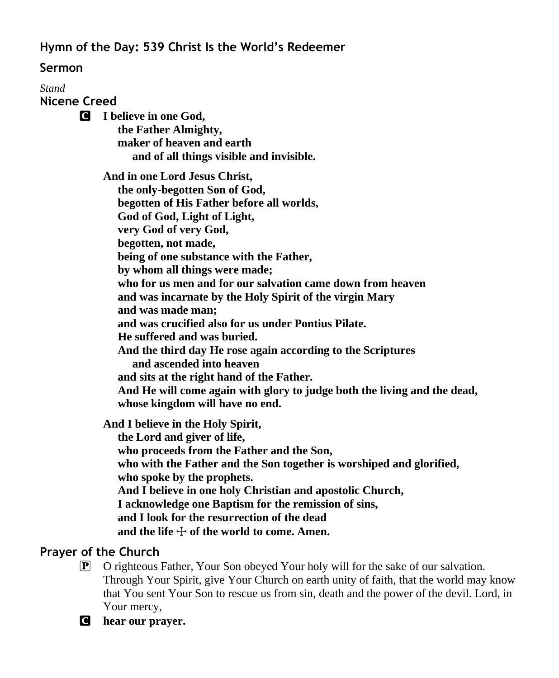**Hymn of the Day: 539 Christ Is the World's Redeemer**

## **Sermon**

*Stand* **Nicene Creed** C **I believe in one God, the Father Almighty, maker of heaven and earth and of all things visible and invisible. And in one Lord Jesus Christ, the only-begotten Son of God, begotten of His Father before all worlds, God of God, Light of Light, very God of very God, begotten, not made, being of one substance with the Father, by whom all things were made; who for us men and for our salvation came down from heaven and was incarnate by the Holy Spirit of the virgin Mary and was made man; and was crucified also for us under Pontius Pilate. He suffered and was buried. And the third day He rose again according to the Scriptures and ascended into heaven and sits at the right hand of the Father. And He will come again with glory to judge both the living and the dead, whose kingdom will have no end. And I believe in the Holy Spirit, the Lord and giver of life, who proceeds from the Father and the Son, who with the Father and the Son together is worshiped and glorified, who spoke by the prophets. And I believe in one holy Christian and apostolic Church,**

 **I acknowledge one Baptism for the remission of sins,**

 **and I look for the resurrection of the dead**

and the life  $\div$  of the world to come. Amen.

# **Prayer of the Church**

P O righteous Father, Your Son obeyed Your holy will for the sake of our salvation. Through Your Spirit, give Your Church on earth unity of faith, that the world may know that You sent Your Son to rescue us from sin, death and the power of the devil. Lord, in Your mercy,

C **hear our prayer.**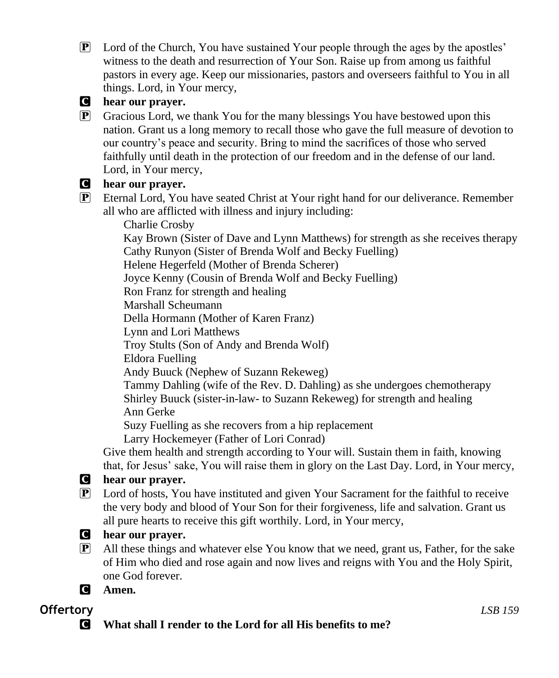P Lord of the Church, You have sustained Your people through the ages by the apostles' witness to the death and resurrection of Your Son. Raise up from among us faithful pastors in every age. Keep our missionaries, pastors and overseers faithful to You in all things. Lord, in Your mercy,

## C **hear our prayer.**

 $\mathbf{P}$  Gracious Lord, we thank You for the many blessings You have bestowed upon this nation. Grant us a long memory to recall those who gave the full measure of devotion to our country's peace and security. Bring to mind the sacrifices of those who served faithfully until death in the protection of our freedom and in the defense of our land. Lord, in Your mercy,

### C **hear our prayer.**

P Eternal Lord, You have seated Christ at Your right hand for our deliverance. Remember all who are afflicted with illness and injury including:

Charlie Crosby

 Kay Brown (Sister of Dave and Lynn Matthews) for strength as she receives therapy Cathy Runyon (Sister of Brenda Wolf and Becky Fuelling)

Helene Hegerfeld (Mother of Brenda Scherer)

Joyce Kenny (Cousin of Brenda Wolf and Becky Fuelling)

Ron Franz for strength and healing

Marshall Scheumann

Della Hormann (Mother of Karen Franz)

Lynn and Lori Matthews

Troy Stults (Son of Andy and Brenda Wolf)

Eldora Fuelling

Andy Buuck (Nephew of Suzann Rekeweg)

 Tammy Dahling (wife of the Rev. D. Dahling) as she undergoes chemotherapy Shirley Buuck (sister-in-law- to Suzann Rekeweg) for strength and healing Ann Gerke

Suzy Fuelling as she recovers from a hip replacement

Larry Hockemeyer (Father of Lori Conrad)

Give them health and strength according to Your will. Sustain them in faith, knowing that, for Jesus' sake, You will raise them in glory on the Last Day. Lord, in Your mercy,

## C **hear our prayer.**

P Lord of hosts, You have instituted and given Your Sacrament for the faithful to receive the very body and blood of Your Son for their forgiveness, life and salvation. Grant us all pure hearts to receive this gift worthily. Lord, in Your mercy,



P All these things and whatever else You know that we need, grant us, Father, for the sake of Him who died and rose again and now lives and reigns with You and the Holy Spirit, one God forever.

C **Amen.**

# **Offertory** *LSB 159*

C **What shall I render to the Lord for all His benefits to me?**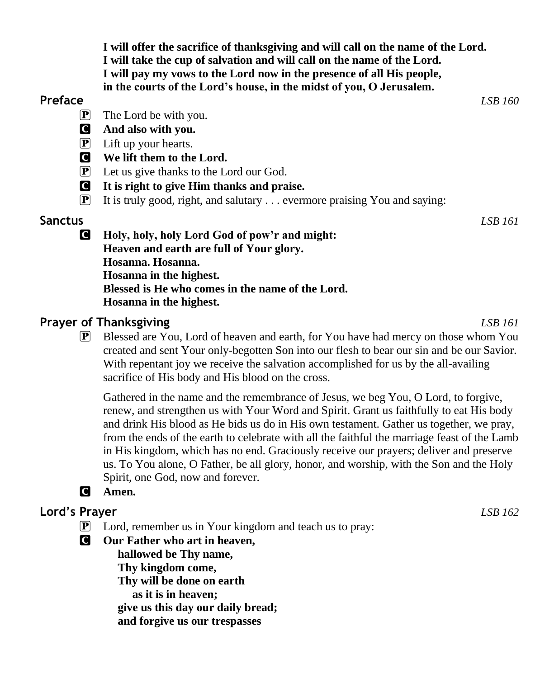**I will offer the sacrifice of thanksgiving and will call on the name of the Lord. I will take the cup of salvation and will call on the name of the Lord. I will pay my vows to the Lord now in the presence of all His people, in the courts of the Lord's house, in the midst of you, O Jerusalem.**

#### **Preface** *LSB 160*

- $\overline{P}$  The Lord be with you.
- C **And also with you.**
- $\left| \mathbf{P} \right|$  Lift up your hearts.
- C **We lift them to the Lord.**
- P Let us give thanks to the Lord our God.
- C **It is right to give Him thanks and praise.**
- $\boxed{\mathbf{P}}$  It is truly good, right, and salutary ... evermore praising You and saying:

## **Sanctus** *LSB 161*

C **Holy, holy, holy Lord God of pow'r and might: Heaven and earth are full of Your glory. Hosanna. Hosanna. Hosanna in the highest. Blessed is He who comes in the name of the Lord. Hosanna in the highest.**

## **Prayer of Thanksgiving** *LSB 161*

P Blessed are You, Lord of heaven and earth, for You have had mercy on those whom You created and sent Your only-begotten Son into our flesh to bear our sin and be our Savior. With repentant joy we receive the salvation accomplished for us by the all-availing sacrifice of His body and His blood on the cross.

Gathered in the name and the remembrance of Jesus, we beg You, O Lord, to forgive, renew, and strengthen us with Your Word and Spirit. Grant us faithfully to eat His body and drink His blood as He bids us do in His own testament. Gather us together, we pray, from the ends of the earth to celebrate with all the faithful the marriage feast of the Lamb in His kingdom, which has no end. Graciously receive our prayers; deliver and preserve us. To You alone, O Father, be all glory, honor, and worship, with the Son and the Holy Spirit, one God, now and forever.

# C **Amen.**

# **Lord's Prayer** *LSB 162*

- $\mathbf{P}$  Lord, remember us in Your kingdom and teach us to pray:
- C **Our Father who art in heaven,**

 **hallowed be Thy name, Thy kingdom come, Thy will be done on earth as it is in heaven; give us this day our daily bread; and forgive us our trespasses**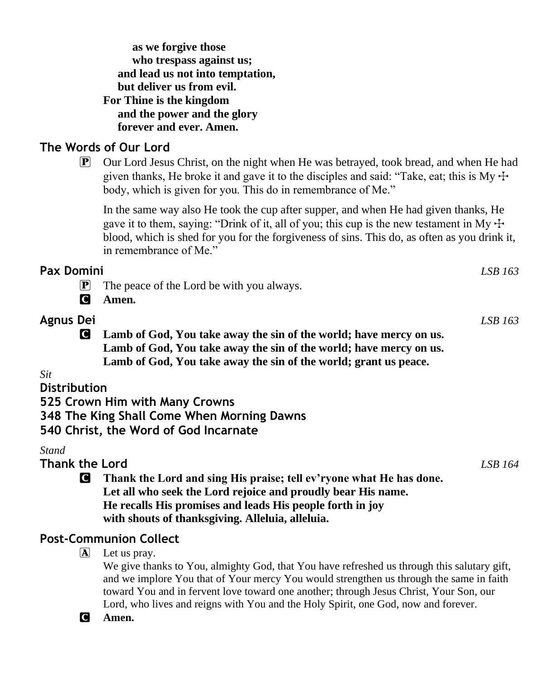| as we forgive those              |  |  |
|----------------------------------|--|--|
| who trespass against us;         |  |  |
| and lead us not into temptation, |  |  |
| but deliver us from evil.        |  |  |
| For Thine is the kingdom         |  |  |
| and the power and the glory      |  |  |
| forever and ever. Amen.          |  |  |

## **The Words of Our Lord**

P Our Lord Jesus Christ, on the night when He was betrayed, took bread, and when He had given thanks, He broke it and gave it to the disciples and said: "Take, eat; this is My  $\pm$ body, which is given for you. This do in remembrance of Me."

In the same way also He took the cup after supper, and when He had given thanks, He gave it to them, saying: "Drink of it, all of you; this cup is the new testament in My  $\pm$ blood, which is shed for you for the forgiveness of sins. This do, as often as you drink it, in remembrance of Me."

| <b>Pax Domini</b>           |                                                                                                                                                                                                                                                      |         |
|-----------------------------|------------------------------------------------------------------------------------------------------------------------------------------------------------------------------------------------------------------------------------------------------|---------|
| $\left  \mathbf{P} \right $ | The peace of the Lord be with you always.                                                                                                                                                                                                            |         |
| <b>C</b>                    | Amen.                                                                                                                                                                                                                                                |         |
| <b>Agnus Dei</b>            |                                                                                                                                                                                                                                                      | LSB 163 |
| <b>C</b>                    | Lamb of God, You take away the sin of the world; have mercy on us.<br>Lamb of God, You take away the sin of the world; have mercy on us.<br>Lamb of God, You take away the sin of the world; grant us peace.                                         |         |
| Sit                         |                                                                                                                                                                                                                                                      |         |
| <b>Distribution</b>         |                                                                                                                                                                                                                                                      |         |
|                             | 525 Crown Him with Many Crowns                                                                                                                                                                                                                       |         |
|                             | 348 The King Shall Come When Morning Dawns<br>540 Christ, the Word of God Incarnate                                                                                                                                                                  |         |
| Stand                       |                                                                                                                                                                                                                                                      |         |
| <b>Thank the Lord</b>       |                                                                                                                                                                                                                                                      | LSB 164 |
| C                           | Thank the Lord and sing His praise; tell ev'ryone what He has done.<br>Let all who seek the Lord rejoice and proudly bear His name.<br>He recalls His promises and leads His people forth in joy<br>with shouts of thanksgiving. Alleluia, alleluia. |         |
|                             | <b>Post-Communion Collect</b>                                                                                                                                                                                                                        |         |
| A                           | Let us pray.                                                                                                                                                                                                                                         |         |

We give thanks to You, almighty God, that You have refreshed us through this salutary gift, and we implore You that of Your mercy You would strengthen us through the same in faith toward You and in fervent love toward one another; through Jesus Christ, Your Son, our Lord, who lives and reigns with You and the Holy Spirit, one God, now and forever.

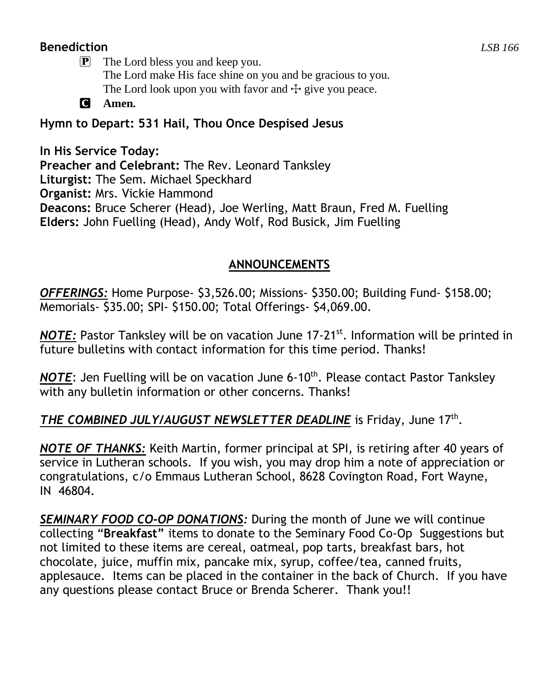## **Benediction** *LSB 166*

P The Lord bless you and keep you. The Lord make His face shine on you and be gracious to you. The Lord look upon you with favor and  $\pm$  give you peace.

C **Amen.**

# **Hymn to Depart: 531 Hail, Thou Once Despised Jesus**

**In His Service Today: Preacher and Celebrant:** The Rev. Leonard Tanksley **Liturgist:** The Sem. Michael Speckhard **Organist:** Mrs. Vickie Hammond **Deacons:** Bruce Scherer (Head), Joe Werling, Matt Braun, Fred M. Fuelling **Elders:** John Fuelling (Head), Andy Wolf, Rod Busick, Jim Fuelling

## **ANNOUNCEMENTS**

*OFFERINGS:* Home Purpose- \$3,526.00; Missions- \$350.00; Building Fund- \$158.00; Memorials- \$35.00; SPI- \$150.00; Total Offerings- \$4,069.00.

*NOTE*: Pastor Tanksley will be on vacation June 17-21<sup>st</sup>. Information will be printed in future bulletins with contact information for this time period. Thanks!

**NOTE:** Jen Fuelling will be on vacation June 6-10<sup>th</sup>. Please contact Pastor Tanksley with any bulletin information or other concerns. Thanks!

# THE COMBINED JULY/AUGUST NEWSLETTER DEADLINE is Friday, June 17<sup>th</sup>.

*NOTE OF THANKS:* Keith Martin, former principal at SPI, is retiring after 40 years of service in Lutheran schools. If you wish, you may drop him a note of appreciation or congratulations, c/o Emmaus Lutheran School, 8628 Covington Road, Fort Wayne, IN 46804.

*SEMINARY FOOD CO-OP DONATIONS:* During the month of June we will continue collecting "**Breakfast"** items to donate to the Seminary Food Co-Op Suggestions but not limited to these items are cereal, oatmeal, pop tarts, breakfast bars, hot chocolate, juice, muffin mix, pancake mix, syrup, coffee/tea, canned fruits, applesauce. Items can be placed in the container in the back of Church. If you have any questions please contact Bruce or Brenda Scherer. Thank you!!